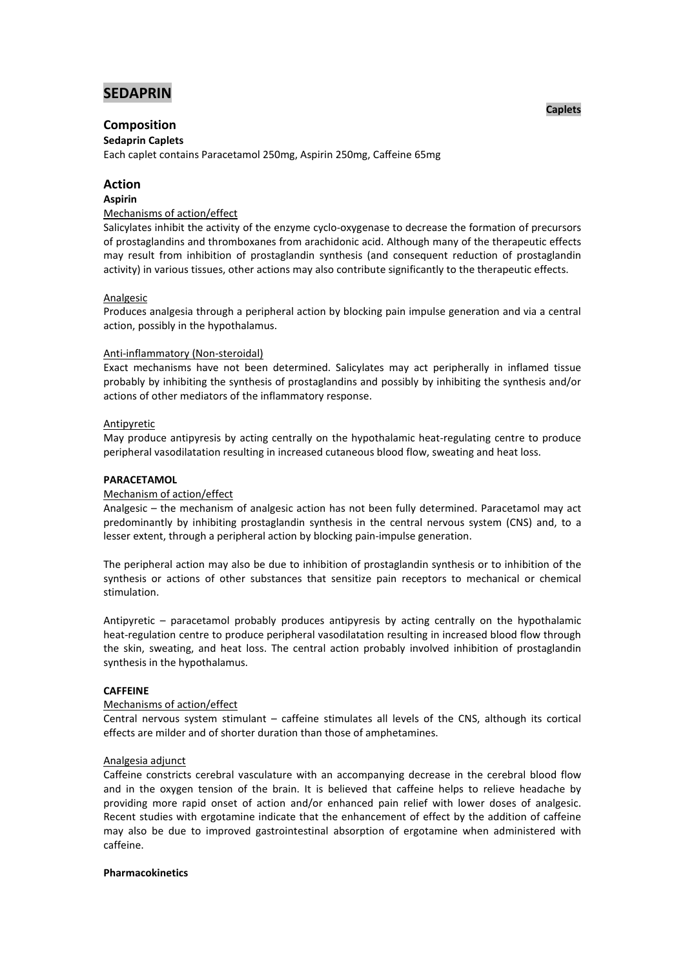# **SEDAPRIN**

## **Composition**

**Sedaprin Caplets**

Each caplet contains Paracetamol 250mg, Aspirin 250mg, Caffeine 65mg

## **Action**

## **Aspirin**

#### Mechanisms of action/effect

Salicylates inhibit the activity of the enzyme cyclo-oxygenase to decrease the formation of precursors of prostaglandins and thromboxanes from arachidonic acid. Although many of the therapeutic effects may result from inhibition of prostaglandin synthesis (and consequent reduction of prostaglandin activity) in various tissues, other actions may also contribute significantly to the therapeutic effects.

#### Analgesic

Produces analgesia through a peripheral action by blocking pain impulse generation and via a central action, possibly in the hypothalamus.

#### Anti-inflammatory (Non-steroidal)

Exact mechanisms have not been determined. Salicylates may act peripherally in inflamed tissue probably by inhibiting the synthesis of prostaglandins and possibly by inhibiting the synthesis and/or actions of other mediators of the inflammatory response.

## Antipyretic

May produce antipyresis by acting centrally on the hypothalamic heat-regulating centre to produce peripheral vasodilatation resulting in increased cutaneous blood flow, sweating and heat loss.

#### **PARACETAMOL**

#### Mechanism of action/effect

Analgesic – the mechanism of analgesic action has not been fully determined. Paracetamol may act predominantly by inhibiting prostaglandin synthesis in the central nervous system (CNS) and, to a lesser extent, through a peripheral action by blocking pain-impulse generation.

The peripheral action may also be due to inhibition of prostaglandin synthesis or to inhibition of the synthesis or actions of other substances that sensitize pain receptors to mechanical or chemical stimulation.

Antipyretic – paracetamol probably produces antipyresis by acting centrally on the hypothalamic heat-regulation centre to produce peripheral vasodilatation resulting in increased blood flow through the skin, sweating, and heat loss. The central action probably involved inhibition of prostaglandin synthesis in the hypothalamus.

#### **CAFFEINE**

#### Mechanisms of action/effect

Central nervous system stimulant – caffeine stimulates all levels of the CNS, although its cortical effects are milder and of shorter duration than those of amphetamines.

#### Analgesia adjunct

Caffeine constricts cerebral vasculature with an accompanying decrease in the cerebral blood flow and in the oxygen tension of the brain. It is believed that caffeine helps to relieve headache by providing more rapid onset of action and/or enhanced pain relief with lower doses of analgesic. Recent studies with ergotamine indicate that the enhancement of effect by the addition of caffeine may also be due to improved gastrointestinal absorption of ergotamine when administered with caffeine.

#### **Pharmacokinetics**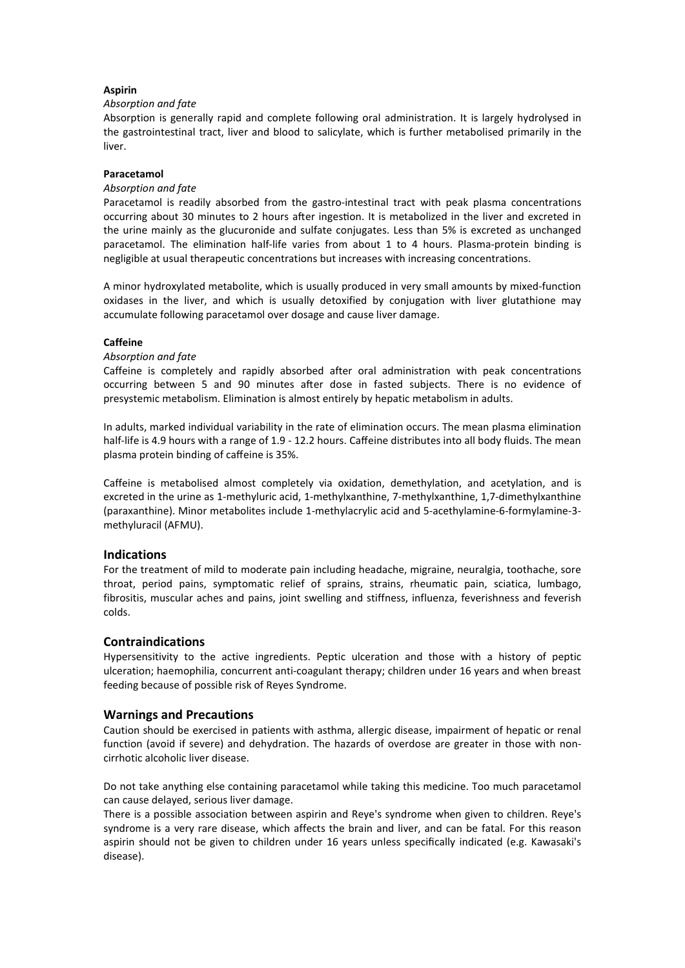#### **Aspirin**

#### *Absorption and fate*

Absorption is generally rapid and complete following oral administration. It is largely hydrolysed in the gastrointestinal tract, liver and blood to salicylate, which is further metabolised primarily in the liver.

#### **Paracetamol**

#### *Absorption and fate*

Paracetamol is readily absorbed from the gastro-intestinal tract with peak plasma concentrations occurring about 30 minutes to 2 hours after ingestion. It is metabolized in the liver and excreted in the urine mainly as the glucuronide and sulfate conjugates. Less than 5% is excreted as unchanged paracetamol. The elimination half-life varies from about 1 to 4 hours. Plasma-protein binding is negligible at usual therapeutic concentrations but increases with increasing concentrations.

A minor hydroxylated metabolite, which is usually produced in very small amounts by mixed-function oxidases in the liver, and which is usually detoxified by conjugation with liver glutathione may accumulate following paracetamol over dosage and cause liver damage.

#### **Caffeine**

#### *Absorption and fate*

Caffeine is completely and rapidly absorbed after oral administration with peak concentrations occurring between 5 and 90 minutes after dose in fasted subjects. There is no evidence of presystemic metabolism. Elimination is almost entirely by hepatic metabolism in adults.

In adults, marked individual variability in the rate of elimination occurs. The mean plasma elimination half-life is 4.9 hours with a range of 1.9 - 12.2 hours. Caffeine distributes into all body fluids. The mean plasma protein binding of caffeine is 35%.

Caffeine is metabolised almost completely via oxidation, demethylation, and acetylation, and is excreted in the urine as 1-methyluric acid, 1-methylxanthine, 7-methylxanthine, 1,7-dimethylxanthine (paraxanthine). Minor metabolites include 1-methylacrylic acid and 5-acethylamine-6-formylamine-3 methyluracil (AFMU).

## **Indications**

For the treatment of mild to moderate pain including headache, migraine, neuralgia, toothache, sore throat, period pains, symptomatic relief of sprains, strains, rheumatic pain, sciatica, lumbago, fibrositis, muscular aches and pains, joint swelling and stiffness, influenza, feverishness and feverish colds.

## **Contraindications**

Hypersensitivity to the active ingredients. Peptic ulceration and those with a history of peptic ulceration; haemophilia, concurrent anti-coagulant therapy; children under 16 years and when breast feeding because of possible risk of Reyes Syndrome.

## **Warnings and Precautions**

Caution should be exercised in patients with asthma, allergic disease, impairment of hepatic or renal function (avoid if severe) and dehydration. The hazards of overdose are greater in those with noncirrhotic alcoholic liver disease.

Do not take anything else containing paracetamol while taking this medicine. Too much paracetamol can cause delayed, serious liver damage.

There is a possible association between aspirin and Reye's syndrome when given to children. Reye's syndrome is a very rare disease, which affects the brain and liver, and can be fatal. For this reason aspirin should not be given to children under 16 years unless specifically indicated (e.g. Kawasaki's disease).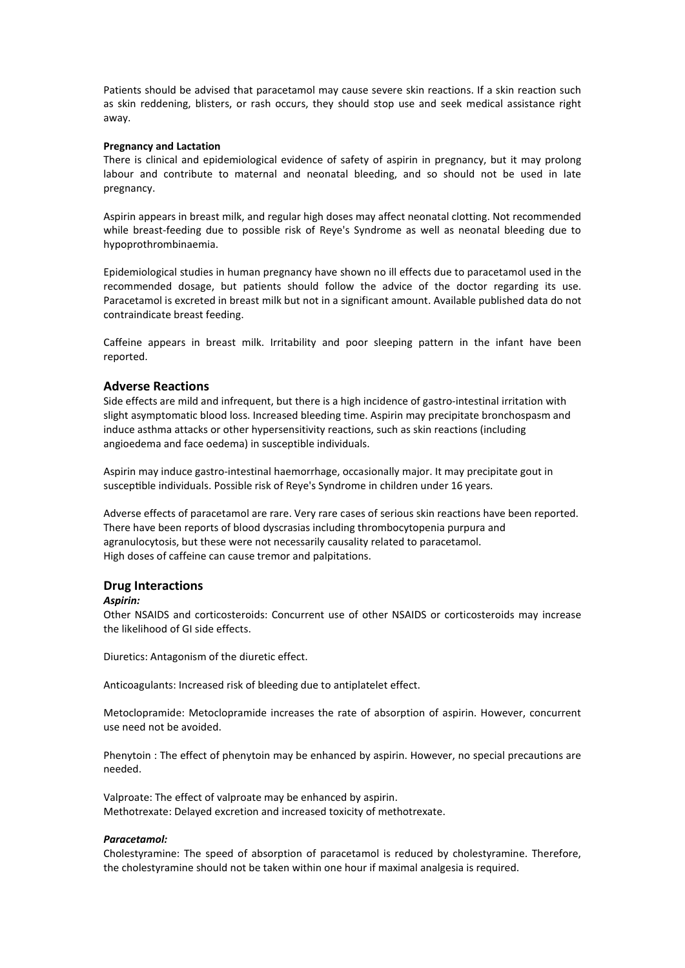Patients should be advised that paracetamol may cause severe skin reactions. If a skin reaction such as skin reddening, blisters, or rash occurs, they should stop use and seek medical assistance right away.

#### **Pregnancy and Lactation**

There is clinical and epidemiological evidence of safety of aspirin in pregnancy, but it may prolong labour and contribute to maternal and neonatal bleeding, and so should not be used in late pregnancy.

Aspirin appears in breast milk, and regular high doses may affect neonatal clotting. Not recommended while breast-feeding due to possible risk of Reye's Syndrome as well as neonatal bleeding due to hypoprothrombinaemia.

Epidemiological studies in human pregnancy have shown no ill effects due to paracetamol used in the recommended dosage, but patients should follow the advice of the doctor regarding its use. Paracetamol is excreted in breast milk but not in a significant amount. Available published data do not contraindicate breast feeding.

Caffeine appears in breast milk. Irritability and poor sleeping pattern in the infant have been reported.

## **Adverse Reactions**

Side effects are mild and infrequent, but there is a high incidence of gastro-intestinal irritation with slight asymptomatic blood loss. Increased bleeding time. Aspirin may precipitate bronchospasm and induce asthma attacks or other hypersensitivity reactions, such as skin reactions (including angioedema and face oedema) in susceptible individuals.

Aspirin may induce gastro-intestinal haemorrhage, occasionally major. It may precipitate gout in susceptible individuals. Possible risk of Reye's Syndrome in children under 16 years.

Adverse effects of paracetamol are rare. Very rare cases of serious skin reactions have been reported. There have been reports of blood dyscrasias including thrombocytopenia purpura and agranulocytosis, but these were not necessarily causality related to paracetamol. High doses of caffeine can cause tremor and palpitations.

## **Drug Interactions**

## *Aspirin:*

Other NSAIDS and corticosteroids: Concurrent use of other NSAIDS or corticosteroids may increase the likelihood of GI side effects.

Diuretics: Antagonism of the diuretic effect.

Anticoagulants: Increased risk of bleeding due to antiplatelet effect.

Metoclopramide: Metoclopramide increases the rate of absorption of aspirin. However, concurrent use need not be avoided.

Phenytoin : The effect of phenytoin may be enhanced by aspirin. However, no special precautions are needed.

Valproate: The effect of valproate may be enhanced by aspirin. Methotrexate: Delayed excretion and increased toxicity of methotrexate.

## *Paracetamol:*

Cholestyramine: The speed of absorption of paracetamol is reduced by cholestyramine. Therefore, the cholestyramine should not be taken within one hour if maximal analgesia is required.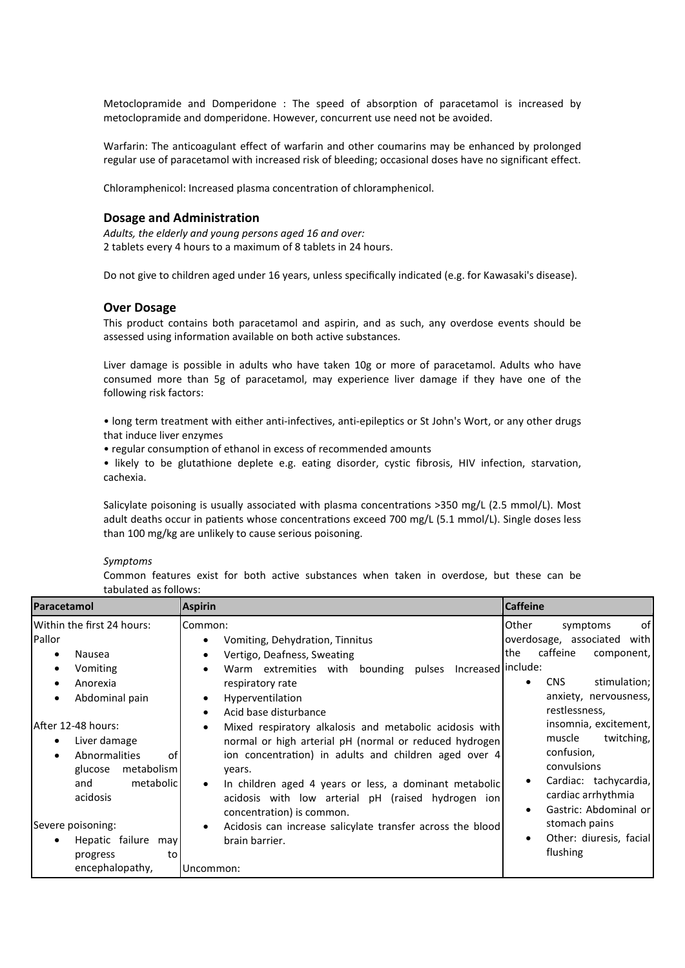Metoclopramide and Domperidone : The speed of absorption of paracetamol is increased by metoclopramide and domperidone. However, concurrent use need not be avoided.

Warfarin: The anticoagulant effect of warfarin and other coumarins may be enhanced by prolonged regular use of paracetamol with increased risk of bleeding; occasional doses have no significant effect.

Chloramphenicol: Increased plasma concentration of chloramphenicol.

## **Dosage and Administration**

*Adults, the elderly and young persons aged 16 and over:* 2 tablets every 4 hours to a maximum of 8 tablets in 24 hours.

Do not give to children aged under 16 years, unless specifically indicated (e.g. for Kawasaki's disease).

## **Over Dosage**

This product contains both paracetamol and aspirin, and as such, any overdose events should be assessed using information available on both active substances.

Liver damage is possible in adults who have taken 10g or more of paracetamol. Adults who have consumed more than 5g of paracetamol, may experience liver damage if they have one of the following risk factors:

• long term treatment with either anti-infectives, anti-epileptics or St John's Wort, or any other drugs that induce liver enzymes

• regular consumption of ethanol in excess of recommended amounts

• likely to be glutathione deplete e.g. eating disorder, cystic fibrosis, HIV infection, starvation, cachexia.

Salicylate poisoning is usually associated with plasma concentrations >350 mg/L (2.5 mmol/L). Most adult deaths occur in patients whose concentrations exceed 700 mg/L (5.1 mmol/L). Single doses less than 100 mg/kg are unlikely to cause serious poisoning.

#### *Symptoms*

Common features exist for both active substances when taken in overdose, but these can be tabulated as follows:

| Paracetamol                                                                                                                                                                                                                                                                     | <b>Aspirin</b>                                                                                                                                                                                                                                                                                                                                                                                                                                                                                                                                                                                            | <b>Caffeine</b>                                                                                                                                                                                                                                                                                                          |
|---------------------------------------------------------------------------------------------------------------------------------------------------------------------------------------------------------------------------------------------------------------------------------|-----------------------------------------------------------------------------------------------------------------------------------------------------------------------------------------------------------------------------------------------------------------------------------------------------------------------------------------------------------------------------------------------------------------------------------------------------------------------------------------------------------------------------------------------------------------------------------------------------------|--------------------------------------------------------------------------------------------------------------------------------------------------------------------------------------------------------------------------------------------------------------------------------------------------------------------------|
| Within the first 24 hours:<br>Pallor<br>Nausea<br>$\bullet$<br>Vomiting<br>$\bullet$<br>Anorexia<br>$\bullet$<br>Abdominal pain<br>After 12-48 hours:<br>Liver damage<br>$\bullet$<br>Abnormalities<br>οf<br>$\bullet$<br>metabolism<br>glucose<br>metabolic<br>and<br>acidosis | Common:<br>Vomiting, Dehydration, Tinnitus<br>$\bullet$<br>Vertigo, Deafness, Sweating<br>$\bullet$<br>Warm extremities with bounding pulses Increased include:<br>$\bullet$<br>respiratory rate<br>Hyperventilation<br>$\bullet$<br>Acid base disturbance<br>$\bullet$<br>Mixed respiratory alkalosis and metabolic acidosis with<br>$\bullet$<br>normal or high arterial pH (normal or reduced hydrogen<br>ion concentration) in adults and children aged over 4<br>years.<br>In children aged 4 years or less, a dominant metabolic<br>$\bullet$<br>acidosis with low arterial pH (raised hydrogen ion | Other<br>of<br>symptoms<br>overdosage, associated<br>with<br>caffeine<br>the<br>component,<br>stimulation;<br><b>CNS</b><br>anxiety, nervousness,<br>restlessness,<br>insomnia, excitement,<br>muscle<br>twitching,<br>confusion,<br>convulsions<br>Cardiac: tachycardia,<br>cardiac arrhythmia<br>Gastric: Abdominal or |
| Severe poisoning:<br>Hepatic failure<br>may<br>to<br>progress<br>encephalopathy,                                                                                                                                                                                                | concentration) is common.<br>Acidosis can increase salicylate transfer across the blood<br>$\bullet$<br>brain barrier.<br>Uncommon:                                                                                                                                                                                                                                                                                                                                                                                                                                                                       | stomach pains<br>Other: diuresis, facial<br>flushing                                                                                                                                                                                                                                                                     |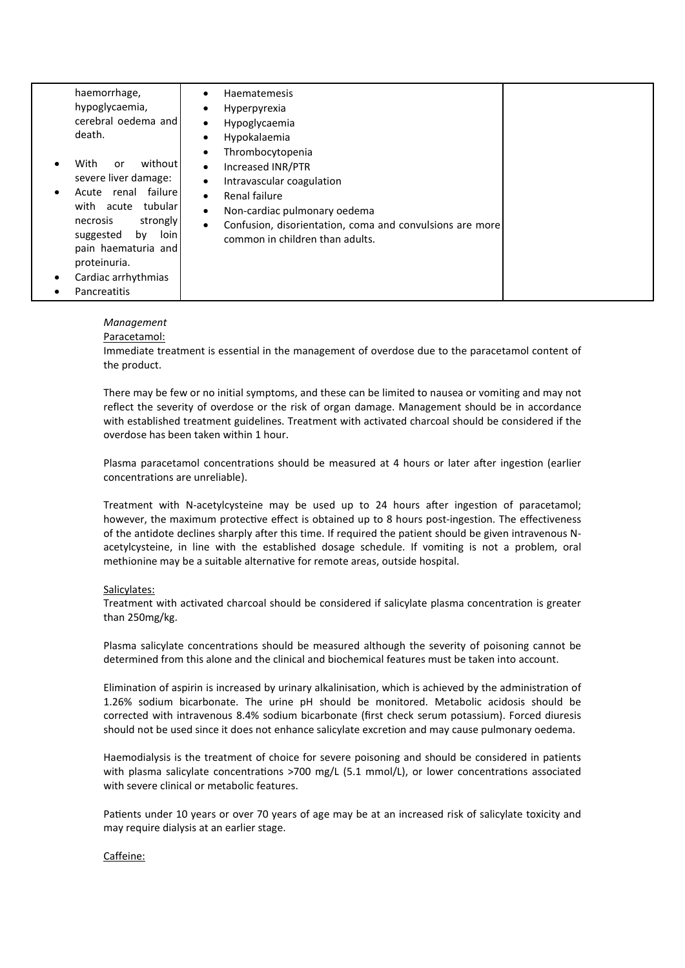|   | haemorrhage,<br>hypoglycaemia,<br>cerebral oedema and | <b>Haematemesis</b><br>٠<br>Hyperpyrexia<br>$\bullet$                   |  |
|---|-------------------------------------------------------|-------------------------------------------------------------------------|--|
|   | death.                                                | Hypoglycaemia<br>$\bullet$<br>Hypokalaemia<br>$\bullet$                 |  |
|   |                                                       | Thrombocytopenia<br>$\bullet$                                           |  |
|   | without<br>With<br>or<br>severe liver damage:         | Increased INR/PTR<br>$\bullet$                                          |  |
|   | Acute renal failure                                   | Intravascular coagulation<br>$\bullet$                                  |  |
|   | with acute<br>tubularl                                | Renal failure<br>$\bullet$<br>Non-cardiac pulmonary oedema<br>$\bullet$ |  |
|   | strongly<br>necrosis                                  | Confusion, disorientation, coma and convulsions are more<br>$\bullet$   |  |
|   | loin<br>suggested<br>by                               | common in children than adults.                                         |  |
|   | pain haematuria and<br>proteinuria.                   |                                                                         |  |
|   | Cardiac arrhythmias                                   |                                                                         |  |
| ٠ | Pancreatitis                                          |                                                                         |  |

## *Management*

#### Paracetamol:

Immediate treatment is essential in the management of overdose due to the paracetamol content of the product.

There may be few or no initial symptoms, and these can be limited to nausea or vomiting and may not reflect the severity of overdose or the risk of organ damage. Management should be in accordance with established treatment guidelines. Treatment with activated charcoal should be considered if the overdose has been taken within 1 hour.

Plasma paracetamol concentrations should be measured at 4 hours or later after ingestion (earlier concentrations are unreliable).

Treatment with N-acetylcysteine may be used up to 24 hours after ingestion of paracetamol; however, the maximum protective effect is obtained up to 8 hours post-ingestion. The effectiveness of the antidote declines sharply after this time. If required the patient should be given intravenous Nacetylcysteine, in line with the established dosage schedule. If vomiting is not a problem, oral methionine may be a suitable alternative for remote areas, outside hospital.

#### Salicylates:

Treatment with activated charcoal should be considered if salicylate plasma concentration is greater than 250mg/kg.

Plasma salicylate concentrations should be measured although the severity of poisoning cannot be determined from this alone and the clinical and biochemical features must be taken into account.

Elimination of aspirin is increased by urinary alkalinisation, which is achieved by the administration of 1.26% sodium bicarbonate. The urine pH should be monitored. Metabolic acidosis should be corrected with intravenous 8.4% sodium bicarbonate (first check serum potassium). Forced diuresis should not be used since it does not enhance salicylate excretion and may cause pulmonary oedema.

Haemodialysis is the treatment of choice for severe poisoning and should be considered in patients with plasma salicylate concentrations >700 mg/L (5.1 mmol/L), or lower concentrations associated with severe clinical or metabolic features.

Patients under 10 years or over 70 years of age may be at an increased risk of salicylate toxicity and may require dialysis at an earlier stage.

#### Caffeine: